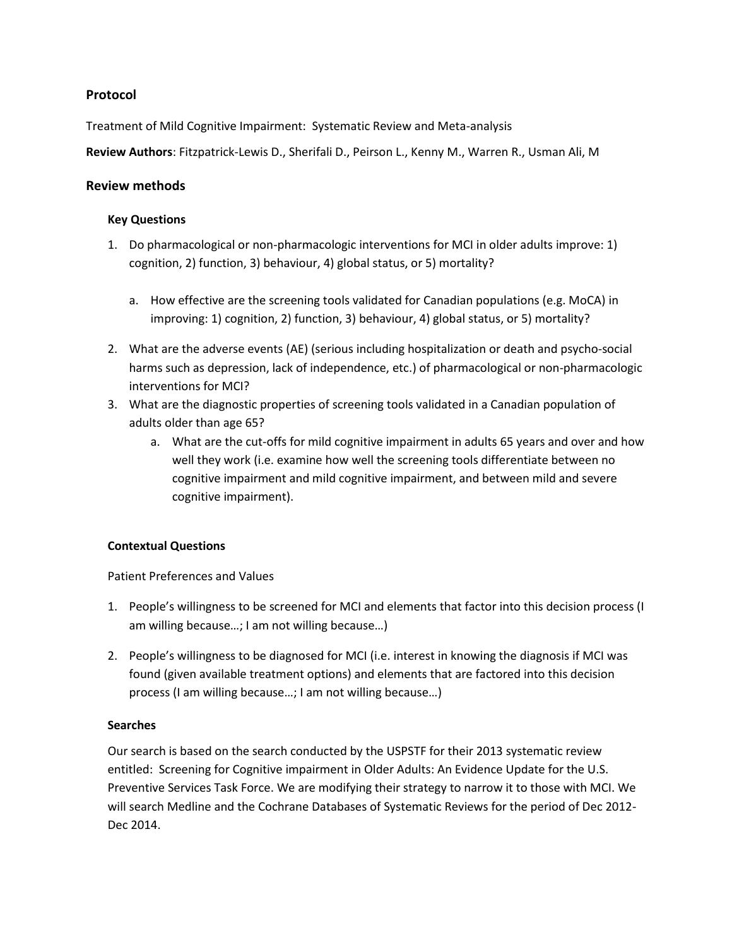### **Protocol**

Treatment of Mild Cognitive Impairment: Systematic Review and Meta-analysis

**Review Authors**: Fitzpatrick-Lewis D., Sherifali D., Peirson L., Kenny M., Warren R., Usman Ali, M

#### **Review methods**

### **Key Questions**

- 1. Do pharmacological or non-pharmacologic interventions for MCI in older adults improve: 1) cognition, 2) function, 3) behaviour, 4) global status, or 5) mortality?
	- a. How effective are the screening tools validated for Canadian populations (e.g. MoCA) in improving: 1) cognition, 2) function, 3) behaviour, 4) global status, or 5) mortality?
- 2. What are the adverse events (AE) (serious including hospitalization or death and psycho-social harms such as depression, lack of independence, etc.) of pharmacological or non-pharmacologic interventions for MCI?
- 3. What are the diagnostic properties of screening tools validated in a Canadian population of adults older than age 65?
	- a. What are the cut-offs for mild cognitive impairment in adults 65 years and over and how well they work (i.e. examine how well the screening tools differentiate between no cognitive impairment and mild cognitive impairment, and between mild and severe cognitive impairment).

# **Contextual Questions**

Patient Preferences and Values

- 1. People's willingness to be screened for MCI and elements that factor into this decision process (I am willing because…; I am not willing because…)
- 2. People's willingness to be diagnosed for MCI (i.e. interest in knowing the diagnosis if MCI was found (given available treatment options) and elements that are factored into this decision process (I am willing because…; I am not willing because…)

#### **Searches**

Our search is based on the search conducted by the USPSTF for their 2013 systematic review entitled: Screening for Cognitive impairment in Older Adults: An Evidence Update for the U.S. Preventive Services Task Force. We are modifying their strategy to narrow it to those with MCI. We will search Medline and the Cochrane Databases of Systematic Reviews for the period of Dec 2012- Dec 2014.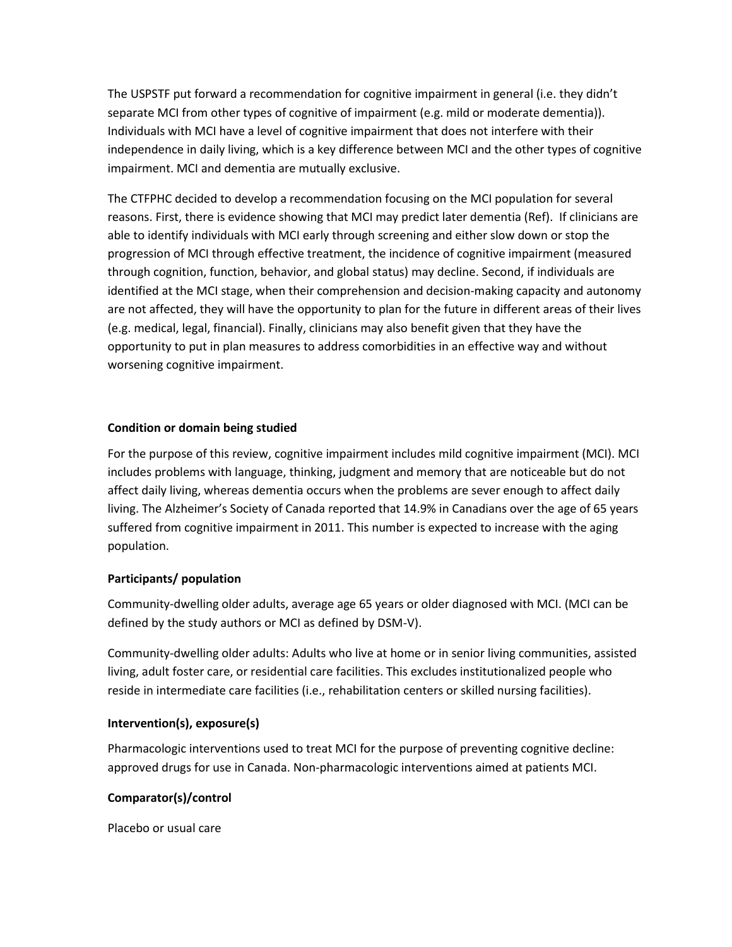The USPSTF put forward a recommendation for cognitive impairment in general (i.e. they didn't separate MCI from other types of cognitive of impairment (e.g. mild or moderate dementia)). Individuals with MCI have a level of cognitive impairment that does not interfere with their independence in daily living, which is a key difference between MCI and the other types of cognitive impairment. MCI and dementia are mutually exclusive.

The CTFPHC decided to develop a recommendation focusing on the MCI population for several reasons. First, there is evidence showing that MCI may predict later dementia (Ref). If clinicians are able to identify individuals with MCI early through screening and either slow down or stop the progression of MCI through effective treatment, the incidence of cognitive impairment (measured through cognition, function, behavior, and global status) may decline. Second, if individuals are identified at the MCI stage, when their comprehension and decision-making capacity and autonomy are not affected, they will have the opportunity to plan for the future in different areas of their lives (e.g. medical, legal, financial). Finally, clinicians may also benefit given that they have the opportunity to put in plan measures to address comorbidities in an effective way and without worsening cognitive impairment.

#### **Condition or domain being studied**

For the purpose of this review, cognitive impairment includes mild cognitive impairment (MCI). MCI includes problems with language, thinking, judgment and memory that are noticeable but do not affect daily living, whereas dementia occurs when the problems are sever enough to affect daily living. The Alzheimer's Society of Canada reported that 14.9% in Canadians over the age of 65 years suffered from cognitive impairment in 2011. This number is expected to increase with the aging population.

#### **Participants/ population**

Community-dwelling older adults, average age 65 years or older diagnosed with MCI. (MCI can be defined by the study authors or MCI as defined by DSM-V).

Community-dwelling older adults: Adults who live at home or in senior living communities, assisted living, adult foster care, or residential care facilities. This excludes institutionalized people who reside in intermediate care facilities (i.e., rehabilitation centers or skilled nursing facilities).

#### **Intervention(s), exposure(s)**

Pharmacologic interventions used to treat MCI for the purpose of preventing cognitive decline: approved drugs for use in Canada. Non-pharmacologic interventions aimed at patients MCI.

# **Comparator(s)/control**

Placebo or usual care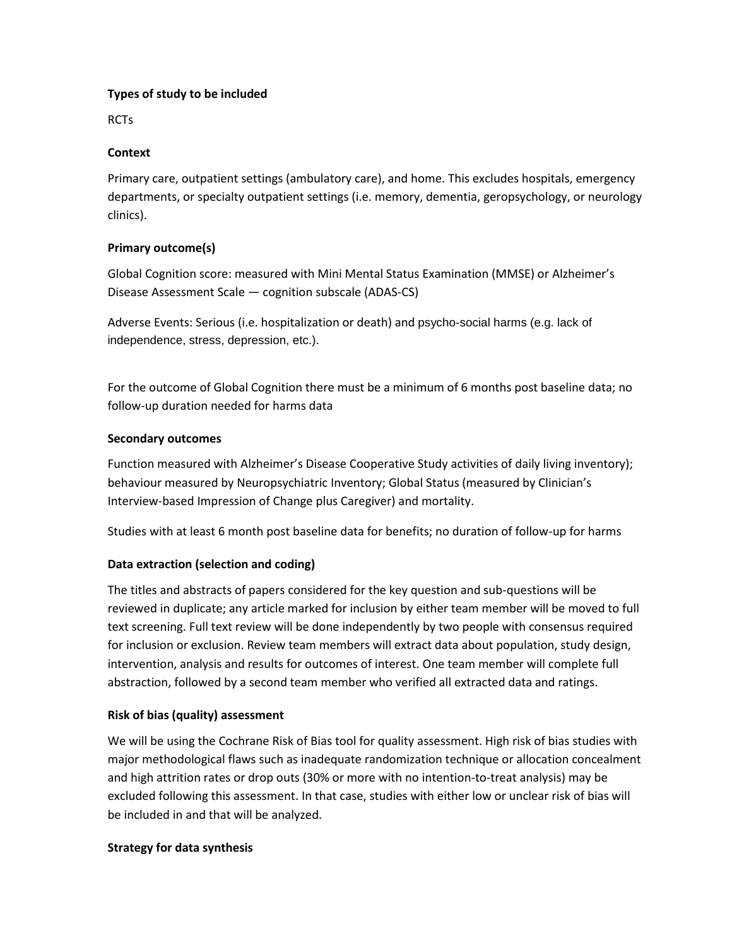#### **Types of study to be included**

RCTs

### **Context**

Primary care, outpatient settings (ambulatory care), and home. This excludes hospitals, emergency departments, or specialty outpatient settings (i.e. memory, dementia, geropsychology, or neurology clinics).

# **Primary outcome(s)**

Global Cognition score: measured with Mini Mental Status Examination (MMSE) or Alzheimer's Disease Assessment Scale — cognition subscale (ADAS-CS)

Adverse Events: Serious (i.e. hospitalization or death) and psycho-social harms (e.g. lack of independence, stress, depression, etc.).

For the outcome of Global Cognition there must be a minimum of 6 months post baseline data; no follow-up duration needed for harms data

### **Secondary outcomes**

Function measured with Alzheimer's Disease Cooperative Study activities of daily living inventory); behaviour measured by Neuropsychiatric Inventory; Global Status (measured by Clinician's Interview-based Impression of Change plus Caregiver) and mortality.

Studies with at least 6 month post baseline data for benefits; no duration of follow-up for harms

# **Data extraction (selection and coding)**

The titles and abstracts of papers considered for the key question and sub-questions will be reviewed in duplicate; any article marked for inclusion by either team member will be moved to full text screening. Full text review will be done independently by two people with consensus required for inclusion or exclusion. Review team members will extract data about population, study design, intervention, analysis and results for outcomes of interest. One team member will complete full abstraction, followed by a second team member who verified all extracted data and ratings.

# **Risk of bias (quality) assessment**

We will be using the Cochrane Risk of Bias tool for quality assessment. High risk of bias studies with major methodological flaws such as inadequate randomization technique or allocation concealment and high attrition rates or drop outs (30% or more with no intention-to-treat analysis) may be excluded following this assessment. In that case, studies with either low or unclear risk of bias will be included in and that will be analyzed.

# **Strategy for data synthesis**